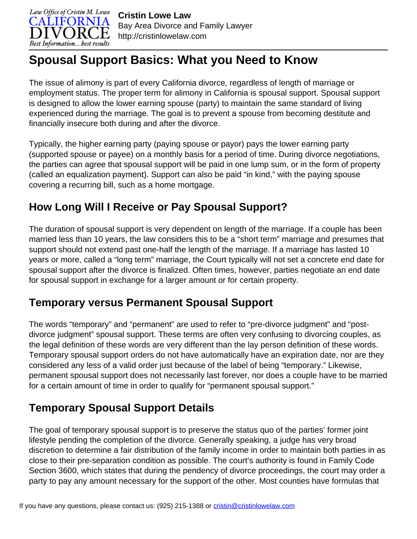

# **Spousal Support Basics: What you Need to Know**

The issue of alimony is part of every California divorce, regardless of length of marriage or employment status. The proper term for alimony in California is spousal support. Spousal support is designed to allow the lower earning spouse (party) to maintain the same standard of living experienced during the marriage. The goal is to prevent a spouse from becoming destitute and financially insecure both during and after the divorce.

Typically, the higher earning party (paying spouse or payor) pays the lower earning party (supported spouse or payee) on a monthly basis for a period of time. During divorce negotiations, the parties can agree that spousal support will be paid in one lump sum, or in the form of property (called an equalization payment). Support can also be paid "in kind," with the paying spouse covering a recurring bill, such as a home mortgage.

### **How Long Will I Receive or Pay Spousal Support?**

The duration of spousal support is very dependent on length of the marriage. If a couple has been married less than 10 years, the law considers this to be a "short term" marriage and presumes that support should not extend past one-half the length of the marriage. If a marriage has lasted 10 years or more, called a "long term" marriage, the Court typically will not set a concrete end date for spousal support after the divorce is finalized. Often times, however, parties negotiate an end date for spousal support in exchange for a larger amount or for certain property.

#### **Temporary versus Permanent Spousal Support**

The words "temporary" and "permanent" are used to refer to "pre-divorce judgment" and "postdivorce judgment" spousal support. These terms are often very confusing to divorcing couples, as the legal definition of these words are very different than the lay person definition of these words. Temporary spousal support orders do not have automatically have an expiration date, nor are they considered any less of a valid order just because of the label of being "temporary." Likewise, permanent spousal support does not necessarily last forever, nor does a couple have to be married for a certain amount of time in order to qualify for "permanent spousal support."

# **Temporary Spousal Support Details**

The goal of temporary spousal support is to preserve the status quo of the parties' former joint lifestyle pending the completion of the divorce. Generally speaking, a judge has very broad discretion to determine a fair distribution of the family income in order to maintain both parties in as close to their pre-separation condition as possible. The court's authority is found in Family Code Section 3600, which states that during the pendency of divorce proceedings, the court may order a party to pay any amount necessary for the support of the other. Most counties have formulas that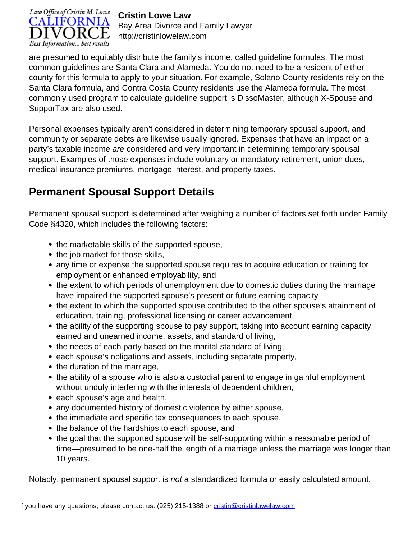

**Cristin Lowe Law** Bay Area Divorce and Family Lawyer http://cristinlowelaw.com

are presumed to equitably distribute the family's income, called guideline formulas. The most common guidelines are Santa Clara and Alameda. You do not need to be a resident of either county for this formula to apply to your situation. For example, Solano County residents rely on the Santa Clara formula, and Contra Costa County residents use the Alameda formula. The most commonly used program to calculate guideline support is DissoMaster, although X-Spouse and SupporTax are also used.

Personal expenses typically aren't considered in determining temporary spousal support, and community or separate debts are likewise usually ignored. Expenses that have an impact on a party's taxable income are considered and very important in determining temporary spousal support. Examples of those expenses include voluntary or mandatory retirement, union dues, medical insurance premiums, mortgage interest, and property taxes.

#### **Permanent Spousal Support Details**

Permanent spousal support is determined after weighing a number of factors set forth under Family Code §4320, which includes the following factors:

- the marketable skills of the supported spouse,
- the job market for those skills,
- any time or expense the supported spouse requires to acquire education or training for employment or enhanced employability, and
- the extent to which periods of unemployment due to domestic duties during the marriage have impaired the supported spouse's present or future earning capacity
- the extent to which the supported spouse contributed to the other spouse's attainment of education, training, professional licensing or career advancement,
- the ability of the supporting spouse to pay support, taking into account earning capacity, earned and unearned income, assets, and standard of living,
- the needs of each party based on the marital standard of living,
- each spouse's obligations and assets, including separate property,
- the duration of the marriage,
- the ability of a spouse who is also a custodial parent to engage in gainful employment without unduly interfering with the interests of dependent children,
- each spouse's age and health,
- any documented history of domestic violence by either spouse,
- the immediate and specific tax consequences to each spouse,
- the balance of the hardships to each spouse, and
- the goal that the supported spouse will be self-supporting within a reasonable period of time—presumed to be one-half the length of a marriage unless the marriage was longer than 10 years.

Notably, permanent spousal support is not a standardized formula or easily calculated amount.